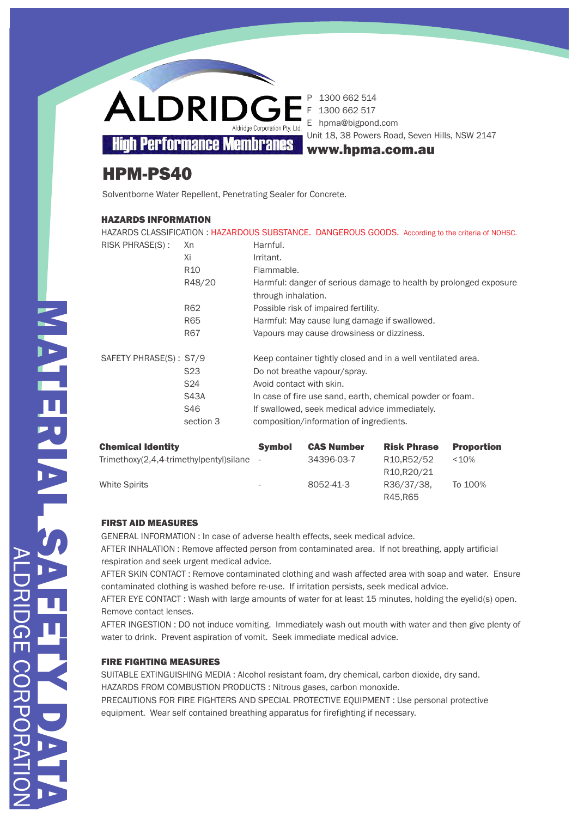1300 662 514 F 1300 662 517 E hpma@bigpond.com

www.hpma.com.au

Unit 18, 38 Powers Road, Seven Hills, NSW 2147

# HPM-PS40

Solventborne Water Repellent, Penetrating Sealer for Concrete.

# HAZARDS INFORMATION

| HAZARDS CLASSIFICATION: HAZARDOUS SUBSTANCE. DANGEROUS GOODS. According to the criteria of NOHSC. |                 |                                                                                          |  |  |  |  |
|---------------------------------------------------------------------------------------------------|-----------------|------------------------------------------------------------------------------------------|--|--|--|--|
| RISK PHRASE(S):                                                                                   | Xn              | Harnful.                                                                                 |  |  |  |  |
|                                                                                                   | Xi              | Irritant.                                                                                |  |  |  |  |
|                                                                                                   | R <sub>10</sub> | Flammable.                                                                               |  |  |  |  |
|                                                                                                   | R48/20          | Harmful: danger of serious damage to health by prolonged exposure<br>through inhalation. |  |  |  |  |
|                                                                                                   | R62             | Possible risk of impaired fertility.                                                     |  |  |  |  |
|                                                                                                   | R65             | Harmful: May cause lung damage if swallowed.                                             |  |  |  |  |
|                                                                                                   | R67             | Vapours may cause drowsiness or dizziness.                                               |  |  |  |  |
| SAFETY PHRASE(S): S7/9                                                                            |                 | Keep container tightly closed and in a well ventilated area.                             |  |  |  |  |
|                                                                                                   | S23             | Do not breathe vapour/spray.                                                             |  |  |  |  |
|                                                                                                   | S <sub>24</sub> | Avoid contact with skin.                                                                 |  |  |  |  |
|                                                                                                   | <b>S43A</b>     | In case of fire use sand, earth, chemical powder or foam.                                |  |  |  |  |
|                                                                                                   | S46             | If swallowed, seek medical advice immediately.                                           |  |  |  |  |
|                                                                                                   | section 3       | composition/information of ingredients.                                                  |  |  |  |  |
|                                                                                                   |                 |                                                                                          |  |  |  |  |

| <b>Chemical Identity</b>                | <b>Symbol</b>            | <b>CAS Number</b> | <b>Risk Phrase</b>                    | <b>Proportion</b> |
|-----------------------------------------|--------------------------|-------------------|---------------------------------------|-------------------|
| Trimethoxy(2,4,4-trimethylpentyl)silane |                          | 34396-03-7        | R <sub>10</sub> , R <sub>52</sub> /52 | <10%              |
|                                         |                          |                   | R <sub>10</sub> , R <sub>20</sub> /21 |                   |
| <b>White Spirits</b>                    | $\overline{\phantom{0}}$ | 8052-41-3         | R36/37/38.                            | To 100%           |
|                                         |                          |                   | R45.R65                               |                   |

# FIRST AID MEASURES

GENERAL INFORMATION : In case of adverse health effects, seek medical advice. AFTER INHALATION : Remove affected person from contaminated area. If not breathing, apply artificial respiration and seek urgent medical advice.

AFTER SKIN CONTACT : Remove contaminated clothing and wash affected area with soap and water. Ensure contaminated clothing is washed before re-use. If irritation persists, seek medical advice.

AFTER EYE CONTACT : Wash with large amounts of water for at least 15 minutes, holding the eyelid(s) open. Remove contact lenses.

AFTER INGESTION : DO not induce vomiting. Immediately wash out mouth with water and then give plenty of water to drink. Prevent aspiration of vomit. Seek immediate medical advice.

# FIRE FIGHTING MEASURES

SUITABLE EXTINGUISHING MEDIA : Alcohol resistant foam, dry chemical, carbon dioxide, dry sand. HAZARDS FROM COMBUSTION PRODUCTS : Nitrous gases, carbon monoxide. PRECAUTIONS FOR FIRE FIGHTERS AND SPECIAL PROTECTIVE EQUIPMENT : Use personal protective

equipment. Wear self contained breathing apparatus for firefighting if necessary.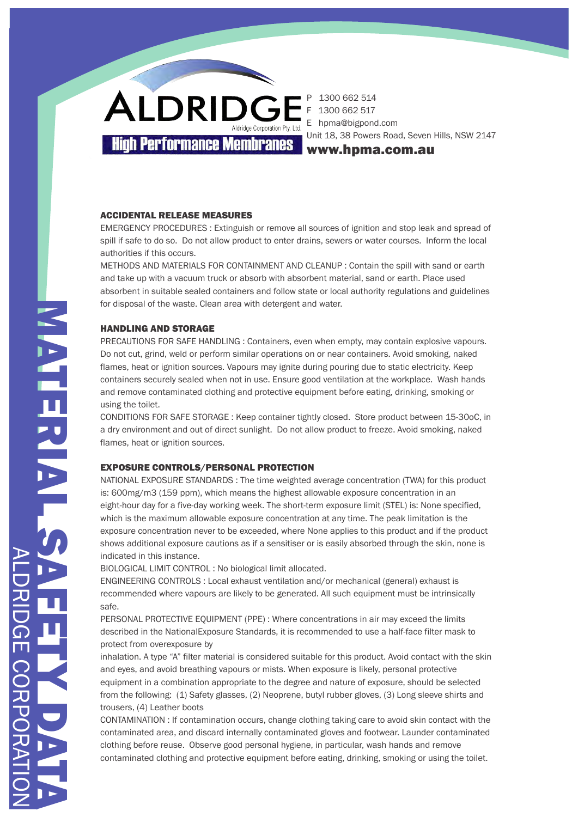1300 662 514 1300 662 517 E hpma@bigpond.com Unit 18, 38 Powers Road, Seven Hills, NSW 2147

www.hpma.com.au

#### ACCIDENTAL RELEASE MEASURES

EMERGENCY PROCEDURES : Extinguish or remove all sources of ignition and stop leak and spread of spill if safe to do so. Do not allow product to enter drains, sewers or water courses. Inform the local authorities if this occurs.

METHODS AND MATERIALS FOR CONTAINMENT AND CLEANUP : Contain the spill with sand or earth and take up with a vacuum truck or absorb with absorbent material, sand or earth. Place used absorbent in suitable sealed containers and follow state or local authority regulations and guidelines for disposal of the waste. Clean area with detergent and water.

### HANDLING AND STORAGE

PRECAUTIONS FOR SAFE HANDLING : Containers, even when empty, may contain explosive vapours. Do not cut, grind, weld or perform similar operations on or near containers. Avoid smoking, naked flames, heat or ignition sources. Vapours may ignite during pouring due to static electricity. Keep containers securely sealed when not in use. Ensure good ventilation at the workplace. Wash hands and remove contaminated clothing and protective equipment before eating, drinking, smoking or using the toilet.

CONDITIONS FOR SAFE STORAGE : Keep container tightly closed. Store product between 15-30oC, in a dry environment and out of direct sunlight. Do not allow product to freeze. Avoid smoking, naked flames, heat or ignition sources.

## EXPOSURE CONTROLS/PERSONAL PROTECTION

NATIONAL EXPOSURE STANDARDS : The time weighted average concentration (TWA) for this product is: 600mg/m3 (159 ppm), which means the highest allowable exposure concentration in an eight-hour day for a five-day working week. The short-term exposure limit (STEL) is: None specified, which is the maximum allowable exposure concentration at any time. The peak limitation is the exposure concentration never to be exceeded, where None applies to this product and if the product shows additional exposure cautions as if a sensitiser or is easily absorbed through the skin, none is indicated in this instance.

BIOLOGICAL LIMIT CONTROL : No biological limit allocated.

ENGINEERING CONTROLS : Local exhaust ventilation and/or mechanical (general) exhaust is recommended where vapours are likely to be generated. All such equipment must be intrinsically safe.

PERSONAL PROTECTIVE EQUIPMENT (PPE) : Where concentrations in air may exceed the limits described in the NationalExposure Standards, it is recommended to use a half-face filter mask to protect from overexposure by

inhalation. A type "A" filter material is considered suitable for this product. Avoid contact with the skin and eyes, and avoid breathing vapours or mists. When exposure is likely, personal protective equipment in a combination appropriate to the degree and nature of exposure, should be selected from the following: (1) Safety glasses, (2) Neoprene, butyl rubber gloves, (3) Long sleeve shirts and trousers, (4) Leather boots

CONTAMINATION : If contamination occurs, change clothing taking care to avoid skin contact with the contaminated area, and discard internally contaminated gloves and footwear. Launder contaminated clothing before reuse. Observe good personal hygiene, in particular, wash hands and remove contaminated clothing and protective equipment before eating, drinking, smoking or using the toilet.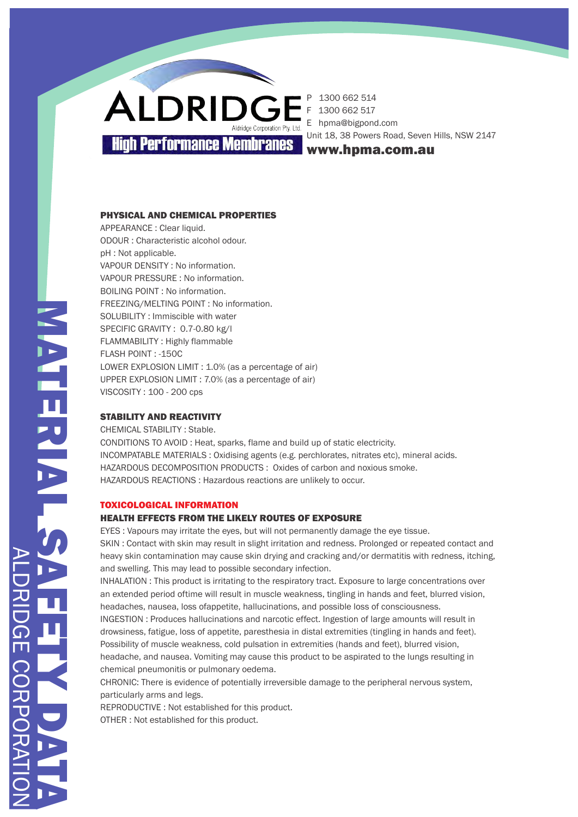1300 662 514 1300 662 517 E hpma@bigpond.com Unit 18, 38 Powers Road, Seven Hills, NSW 2147

www.hpma.com.au

## PHYSICAL AND CHEMICAL PROPERTIES

APPEARANCE : Clear liquid. ODOUR : Characteristic alcohol odour. pH : Not applicable. VAPOUR DENSITY : No information. VAPOUR PRESSURE : No information. BOILING POINT : No information. FREEZING/MELTING POINT : No information. SOLUBILITY : Immiscible with water SPECIFIC GRAVITY : 0.7-0.80 kg/l FLAMMABILITY : Highly flammable FLASH POINT : -150C LOWER EXPLOSION LIMIT : 1.0% (as a percentage of air) UPPER EXPLOSION LIMIT : 7.0% (as a percentage of air) VISCOSITY : 100 - 200 cps

## STABILITY AND REACTIVITY

CHEMICAL STABILITY : Stable. CONDITIONS TO AVOID : Heat, sparks, flame and build up of static electricity. INCOMPATABLE MATERIALS : Oxidising agents (e.g. perchlorates, nitrates etc), mineral acids. HAZARDOUS DECOMPOSITION PRODUCTS : Oxides of carbon and noxious smoke. HAZARDOUS REACTIONS : Hazardous reactions are unlikely to occur.

### TOXICOLOGICAL INFORMATION

## HEALTH EFFECTS FROM THE LIKELY ROUTES OF EXPOSURE

EYES : Vapours may irritate the eyes, but will not permanently damage the eye tissue. SKIN : Contact with skin may result in slight irritation and redness. Prolonged or repeated contact and heavy skin contamination may cause skin drying and cracking and/or dermatitis with redness, itching, and swelling. This may lead to possible secondary infection.

INHALATION : This product is irritating to the respiratory tract. Exposure to large concentrations over an extended period oftime will result in muscle weakness, tingling in hands and feet, blurred vision, headaches, nausea, loss ofappetite, hallucinations, and possible loss of consciousness.

INGESTION : Produces hallucinations and narcotic effect. Ingestion of large amounts will result in drowsiness, fatigue, loss of appetite, paresthesia in distal extremities (tingling in hands and feet). Possibility of muscle weakness, cold pulsation in extremities (hands and feet), blurred vision, headache, and nausea. Vomiting may cause this product to be aspirated to the lungs resulting in chemical pneumonitis or pulmonary oedema.

CHRONIC: There is evidence of potentially irreversible damage to the peripheral nervous system, particularly arms and legs.

REPRODUCTIVE : Not established for this product.

OTHER : Not established for this product.